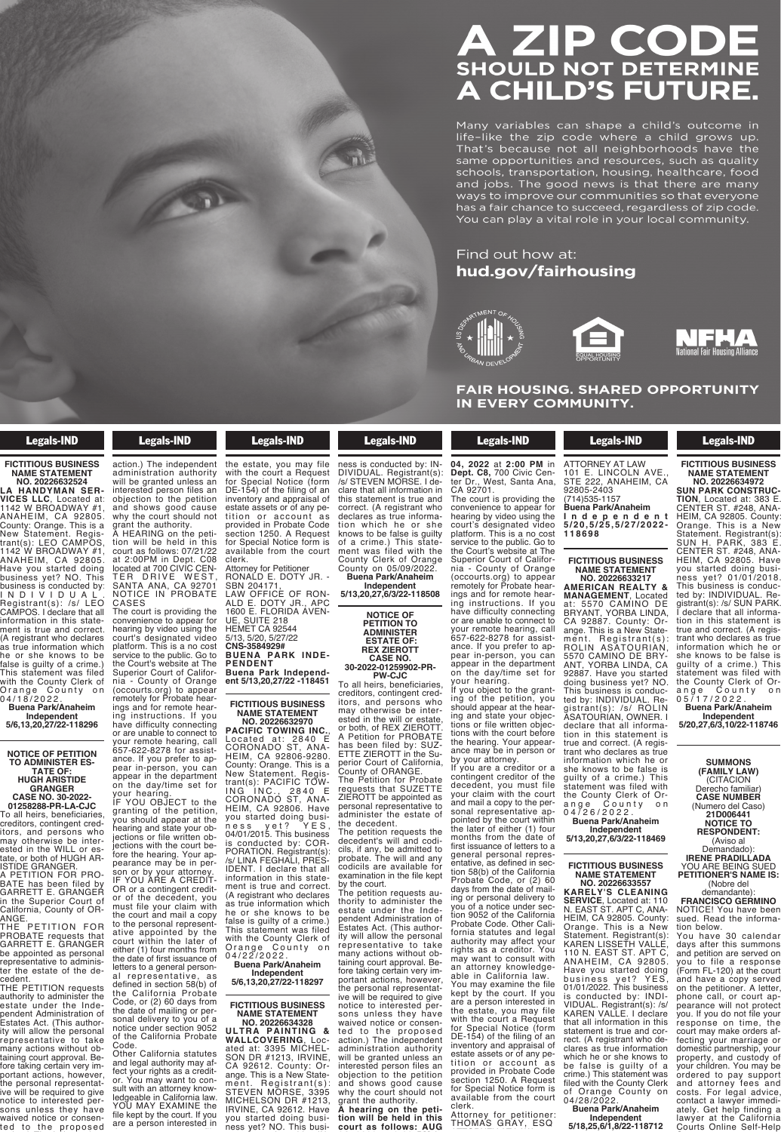#### If you object to the granting of the petition, you should appear at the hearing and state your objections of the written or file written or NOT DET the hearing. Your appearance may be in person or by your attorney.  $\overline{\phantom{a}}$ creditors, contingent creditors, and persons who may otherwise be interested in the will or estate, or both, of REX ZIEROTT. **SHAIII D**  $31100E$ ETTE ZIERLICH perior Court of California, County of ORANGE.

an shape a chilc code where a cl  $\frac{1}{2}$ sonal representative apot all neighborn  $\mathop{\mathsf{es}}$  and resources,  $\mathop{\mathsf{e}}$ ation housing he acion, noaonig, na and jobs. The good news is that t ways to improve our communities se has a fair chance to succeed regard productus, rugaran dis a ran charles to saccece, regard. Many variables life-like the zip  $\frac{1}{2}$ that s De same opportunit schools, transpo concolo, dianopo The can play a vi

#### tion 9052 of the California Find out how at: formation statutes and legal statutes and legal statutes and legal statutes and legal statutes and legal stratu hud.gov/fairhousing **Find out now** nua.gov/Ta



 $\mathbf{F}$  shaped op FAIR HOUSING. SHARED OP IN EVERY COMMUNITY. interested person files an

> for Special Notice form is available from the court

# Legals-IND

# **FICTITIOUS BUSINESS NAME STATEMENT**

**NO. 20226632524 LA HANDYMAN SER-VICES LLC**, Located at: 1142 W BROADWAY #1, ANAHEIM, CA 92805. County: Orange. This is a New Statement. Registrant(s): LEO CAMPOS, 1142 W BROADWAY #1, ANAHEIM, CA 92805. Have you started doing business yet? NO. This business is conducted by: I N D I V I D U A L . Registrant(s): /s/ LEO CAMPOS. I declare that all information in this statement is true and correct. (A registrant who declares as true information which he or she knows to be false is guilty of a crime.) This statement was filed with the County Clerk of Orange County on 0 4 / 1 8 / 2 0 2 2 .

**Buena Park/Anaheim Independent 5/6,13,20,27/22-118296**

# **NOTICE OF PETITION TO ADMINISTER ES-TATE OF: HUGH ARISTIDE GRANGER CASE NO. 30-2022-**

**01258288-PR-LA-CJC**

To all heirs, beneficiaries, creditors, contingent creditors, and persons who may otherwise be inter-ested in the WILL or es-tate, or both of HUGH AR-ISTIDE GRANGER.

A PETITION FOR PRO-BATE has been filed by GARRETT E. GRANGER in the Superior Court of California, County of OR-ANGE.

THE PETITION FOR PROBATE requests that GARRETT E. GRANGER be appointed as personal representative to administer the estate of the decedent.

THE PETITION requests authority to administer the estate under the Independent Administration of Estates Act. (This authority will allow the personal representative to take many actions without obtaining court approval. Before taking certain very important actions, however, the personal representative will be required to give notice to interested persons unless they have waived notice or consented to the proposed

# **Example 18 Legals-IND**  $\blacksquare$

ive will be required to give notice to interested per-

ested in the WILL or ested in the WILL or ested in the WILL or ested in the WILL or ested in the WILL or ested

A PETITION FOR PRO-BATE has been filed by

ted to the proposed to the proposed to the proposed to the proposed to the proposed to the proposed of the proposed of the proposed of the proposed of the proposed of the proposed of the proposed of the proposed of the pro action.) The independent administration authority will be granted unless an interested person files an objection to the petition and shows good cause why the court should not grant the authority. A HEARING on the peti-

tion will be held in this court as follows: 07/21/22 at 2:00PM in Dept. C08 located at 700 CIVIC CEN-<br>TER DRIVE WEST, SANTA ANA, CA 92701 NOTICE IN PROBATE CASES

The court is providing the convenience to appear for hearing by video using the court's designated video platform. This is a no cost service to the public. Go to the Court's website at The Superior Court of California - County of Orange (occourts.org) to appear remotely for Probate hearings and for remote hearing instructions. If you have difficulty connecting

or are unable to connect to your remote hearing, call 657-622-8278 for assistance. If you prefer to appear in-person, you can appear in the department on the day/time set for your hearing.

IF YOU OBJECT to the granting of the petition, you should appear at the hearing and state your objections or file written objections with the court before the hearing. Your appearance may be in person or by your attorney. IF YOU ARE A CREDIT-OR or a contingent creditor of the decedent, you must file your claim with the court and mail a copy to the personal representative appointed by the court within the later of either (1) four months from the date of first issuance of letters to a general person-

al representative, as defined in section 58(b) of the California Probate Code, or (2) 60 days from the date of mailing or personal delivery to you of a notice under section 9052 of the California Probate Code.

Other California statutes and legal authority may affect your rights as a creditor. You may want to consult with an attorney know-ledgeable in California law. YOU MAY EXAMINE the file kept by the court. If you are a person interested in

# **Legals-IND**  $f(x) = \frac{1}{2} \cos(\theta) + \cos(\theta)$

nia - County of Orange (occourts.org) to appear remotely for Probate hearings and for remote hearing instructions. If you have difficulty connecting or are unable to connect to

granting of the petition, and the period of the period of the period of the period of hearing and state your objections or file written objections with the court be-

son or by your attorney.

the court and mail a copy to the personal representative appointed by the

the date of mailing or per-

sult with an attorney knowledgeable in California law.

are a person interested in the estate, you may file with the court a Request for Special Notice (form DE-154) of the filing of an inventory and appraisal of estate assets or of any petition or ac count as provided in Probate Code section 1250. A Request for Special Notice form is available from the court clerk. Attorney for Petitioner

RONALD E. DOTY JR. - SBN 204171, LAW OFFICE OF RON-ALD E. DOTY JR., APC 1600 E. FLORIDA AVEN-UE, SUITE 218 HEMET CA 92544

5/13, 5/20, 5/27/22 **CNS-3584929# BUENA PARK INDE-PENDENT Buena Park Independent 5/13,20,27/22 -118451**

# **FICTITIOUS BUSINESS NAME STATEMENT NO. 20226632970**

**PACIFIC TOWING INC.**, Located at: 2840 E CORONADO ST, ANA-HEIM, CA 92806-9280. County: Orange. This is a New Statement. Registrant(s): PACIFIC TOW-ING INC., 2840 E CORONADO ST, ANA-HEIM, CA 92806. Have you started doing business yet? YES, 04/01/2015. This business is conducted by: COR-PORATION. Registrant(s): /s/ LINA FEGHALI, PRES-IDENT. I declare that all information in this statement is true and correct. (A registrant who declares as true information which he or she knows to be false is guilty of a crime.) This statement was filed with the County Clerk of Orange County on 0 4 / 2 2 / 2 0 2 2 .

**Buena Park/Anaheim Independent 5/6,13,20,27/22-118297**

**FICTITIOUS BUSINESS NAME STATEMENT**

**NO. 20226634328 ULTRA PAINTING & WALLCOVERING**, Located at: 3395 MICHEL-SON DR #1213, IRVINE, CA 92612. County: Orange. This is a New Statement. Registrant(s):<br>STEVEN MORSE, 3395<br>MICHELSON DR #1213,<br>IRVINE, CA 92612. Have you started doing business yet? NO. This busi-

# ness is conducted by: IN-DIVIDUAL. Registrant(s): /s/ STEVEN MORSE. I declare that all information in<br>this statement is true and this statement is true and correct. (A registrant who declares as true information which he or she knows to be false is guilty of a crime.) This state-

**Example 18 Legals-IND** STEVEN MORSE, 3395 MICHELSON DR #1213,  $\overline{\phantom{a}}$  started doing business yet also busi-

ment was filed with the County Clerk of Orange County on 05/09/2022. **Buena Park/Anaheim Independent 5/13,20,27,6/3/22-118508**

# **NOTICE OF PETITION TO ADMINISTER ESTATE OF: REX ZIEROTT CASE NO. 30-2022-01259902-PR-PW-CJC**

To all heirs, beneficiaries, creditors, contingent creditors, and persons who may otherwise be interested in the will or estate, or both, of REX ZIEROTT. A Petition for PROBATE has been filed by: SUZ-ETTE ZIEROTT in the Superior Court of California, County of ORANGE.

The Petition for Probate requests that SUZETTE ZIEROTT be appointed as personal representative to administer the estate of

the decedent. The petition requests the decedent's will and codi-cils, if any, be admitted to probate. The will and any codicils are available for examination in the file kept by the court.

The petition requests authority to administer the estate under the Independent Administration of Estates Act. (This authority will allow the personal representative to take many actions without obtaining court approval. Before taking certain very important actions, however, the personal representat-<br>ive will be required to give notice to interested persons unless they have waived notice or consented to the proposed action.) The independent administration authority will be granted unless an<br>interested person files an objection to the petition and shows good cause why the court should not grant the authority. **A hearing on the peti-**

**tion will be held in this court as follows: AUG** *h* **hearing one** *hearing* **<b>one** *hearing* **<b>***n n n n n n n n n n n n n n n n n n n n n n n n n n n n n* **the second index court as follows: AUG**

why the court should not be court should not grant the authority.

**04, 2022** at **2:00 PM** in **Dept. C8,** 700 Civic Center Dr., West, Santa Ana, CA 92701.

The court is providing the convenience to appear for hearing by video using the court's designated video platform. This is a no cost service to the public. Go to the Court's website at The Superior Court of California - County of Orange (occourts.org) to appear remotely for Probate hearings and for remote hearing instructions. If you have difficulty connecting or are unable to connect to your remote hearing, call 657-622-8278 for assistance. If you prefer to appear in-person, you can appear in the department on the day/time set for your hearing.

If you object to the granting of the petition, you should appear at the hearing and state your objections or file written objections with the court before the hearing. Your appearance may be in person or by your attorney.

If you are a creditor or a contingent creditor of the decedent, you must file your claim with the court and mail a copy to the perand mail a copy to the per-<br>sonal representative appointed by the court within the later of either (1) four months from the date of first issuance of letters to a general personal repres-entative, as defined in section 58(b) of the California Probate Code, or (2) 60 days from the date of mailing or personal delivery to you of a notice under section 9052 of the California Probate Code. Other California statutes and legal authority may affect your rights as a creditor. You may want to consult with an attorney knowledgeable in California law. You may examine the file kept by the court. If you are a person interested in the estate, you may file with the court a Request for Special Notice (form DE-154) of the filing of an inventory and appraisal of estate assets or of any petition or ac count a s provided in Probate Code section 1250. A Request for Special Notice form is available from the court clerk.

Attorney for petitioner: THOMAS GRAY, ESQ

**Example 18 Legals-IND** THOMAS GRAY, ESQ ATTORNEY AT LAW 101 E. LINCOLN AVE.,

92805-2403 (714)535-1157 **Buena Park/Anaheim I n d e p e n d e n t 5 / 2 0 , 5 / 2 5 , 5 / 2 7 / 2 0 2 2 - 1 1 8 6 9 8**

STE 222, ANAHEIM, CA

# **FICTITIOUS BUSINESS NAME STATEMENT**

**NO. 20226633217 AMERICAN REALTY & MANAGEMENT**, Located at: 5570 CAMINO DE BRYANT, YORBA LINDA, CA 92887. County: Orange. This is a New Statement. Registrant(s): ROLIN ASATOURIAN, 5570 CAMINO DE BRY-ANT, YORBA LINDA, CA 92887. Have you started doing business yet? NO. This business is conducted by: INDIVIDUAL. Registrant(s): /s/ ROLIN ASATOURIAN, OWNER. I declare that all information in this statement is true and correct. (A registrant who declares as true information which he or she knows to be false is

guilty of a crime.) This statement was filed with the County Clerk of Orange County on 0 4 / 2 6 / 2 0 2 2 . **Buena Park/Anaheim**

**Independent 5/13,20,27,6/3/22-118469**

# **FICTITIOUS BUSINESS NAME STATEMENT NO. 20226633557**

**KARELY'S CLEANING SERVICE**, Located at: 110 N. EAST ST. APT C, ANA-HEIM, CA 92805. County: Orange. This is a New Statement. Registrant(s): KAREN LISSETH VALLE, 110 N. EAST ST. APT C, ANAHEIM, CA 92805. Have you started doing business yet? YES, 01/01/2022. This business is conducted by: INDI-VIDUAL. Registrant(s): /s/ KAREN VALLE. I declare that all information in this statement is true and cor-<br>statement is true and correct. (A registrant who declares as true information which he or she knows to be false is guilty of a crime.) This statement was filed with the County Clerk of Orange County on 04/28/2022.

**Buena Park/Anaheim Independent 5/18,25,6/1,8/22-118712**

Legals-IND **FICTITIOUS BUSINESS**

**NAME STATEMENT NO. 20226634972**

**SUN PARK CONSTRUC-TION**, Located at: 383 E. CENTER ST. #248, ANA-HEIM, CA 92805. County: Orange. This is a New Statement. Registrant(s): SUN H. PARK, 383 E. CENTER ST. #248, ANA-HEIM, CA 92805. Have you started doing business yet? 01/01/2018. This business is conducted by: INDIVIDUAL. Registrant(s): /s/ SUN PARK. I declare that all information in this statement is true and correct. (A registrant who declares as true information which he or she knows to be false is guilty of a crime.) This statement was filed with the County Clerk of Orange County on

0 5 / 1 7 / 2 0 2 2 . **Buena Park/Anaheim**

**Independent 5/20,27,6/3,10/22-118746**

> **SUMMONS (FAMILY LAW)** (CITACION

Derecho familiar) **CASE NUMBER** (Numero del Caso) **21D006441 NOTICE TO**

**RESPONDENT:** (Aviso al Demandado): **IRENE PRADILLADA**

YOU ARE BEING SUED **PETITIONER'S NAME IS:** (Nobre del

demandante): **FRANCISCO GERMINO** NOTICE! You have been

sued. Read the information below. You have 30 calendar days after this summons and petition are served on you to file a response (Form FL-120) at the court and have a copy served on the petitioner. A letter, phone call, or court appearance will not protect you. If you do not file your response on time, the court may make orders affecting your marriage or domestic partnership, your property, and custody of your children. You may be ordered to pay support and attorney fees and costs. For legal advice, contact a lawyer immediately. Get help finding a lawyer at the California<br>Courts Online Self-Help